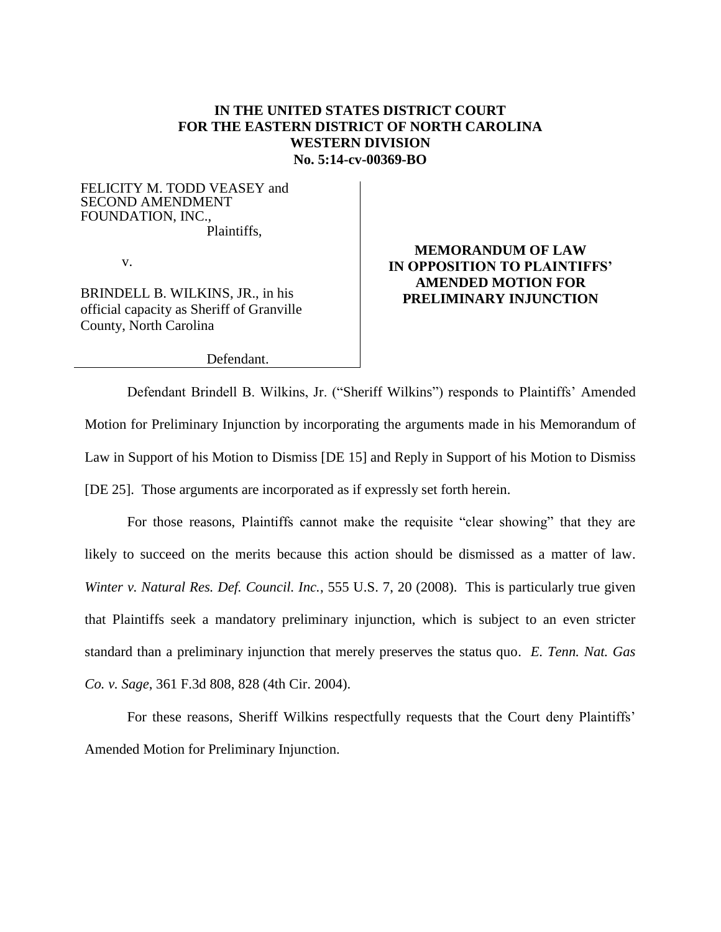## **IN THE UNITED STATES DISTRICT COURT FOR THE EASTERN DISTRICT OF NORTH CAROLINA WESTERN DIVISION No. 5:14-cv-00369-BO**

FELICITY M. TODD VEASEY and SECOND AMENDMENT FOUNDATION, INC., Plaintiffs,

v.

BRINDELL B. WILKINS, JR., in his official capacity as Sheriff of Granville County, North Carolina

# **MEMORANDUM OF LAW IN OPPOSITION TO PLAINTIFFS' AMENDED MOTION FOR PRELIMINARY INJUNCTION**

Defendant.

Defendant Brindell B. Wilkins, Jr. ("Sheriff Wilkins") responds to Plaintiffs' Amended Motion for Preliminary Injunction by incorporating the arguments made in his Memorandum of Law in Support of his Motion to Dismiss [DE 15] and Reply in Support of his Motion to Dismiss [DE 25]. Those arguments are incorporated as if expressly set forth herein.

For those reasons, Plaintiffs cannot make the requisite "clear showing" that they are likely to succeed on the merits because this action should be dismissed as a matter of law. *Winter v. Natural Res. Def. Council. Inc.*, 555 U.S. 7, 20 (2008). This is particularly true given that Plaintiffs seek a mandatory preliminary injunction, which is subject to an even stricter standard than a preliminary injunction that merely preserves the status quo. *E. Tenn. Nat. Gas Co. v. Sage*, 361 F.3d 808, 828 (4th Cir. 2004).

For these reasons, Sheriff Wilkins respectfully requests that the Court deny Plaintiffs' Amended Motion for Preliminary Injunction.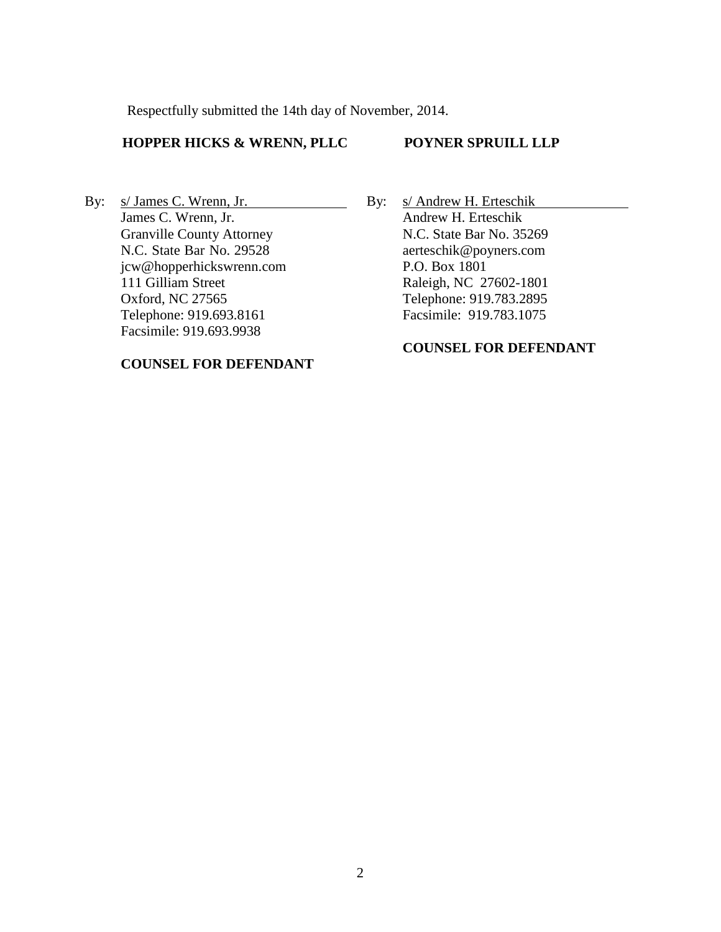Respectfully submitted the 14th day of November, 2014.

### **HOPPER HICKS & WRENN, PLLC**

### **POYNER SPRUILL LLP**

By: s/ James C. Wrenn, Jr. James C. Wrenn, Jr. Granville County Attorney N.C. State Bar No. 29528 jcw@hopperhickswrenn.com 111 Gilliam Street Oxford, NC 27565 Telephone: 919.693.8161 Facsimile: 919.693.9938

#### **COUNSEL FOR DEFENDANT**

By: s/ Andrew H. Erteschik Andrew H. Erteschik N.C. State Bar No. 35269 aerteschik@poyners.com P.O. Box 1801 Raleigh, NC 27602-1801 Telephone: 919.783.2895 Facsimile: 919.783.1075

## **COUNSEL FOR DEFENDANT**